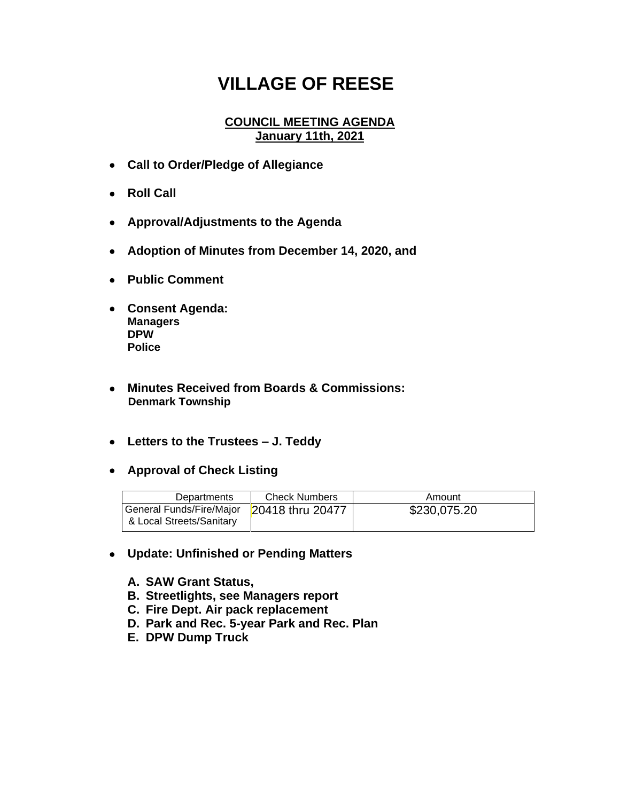## **VILLAGE OF REESE**

## **COUNCIL MEETING AGENDA January 11th, 2021**

- **Call to Order/Pledge of Allegiance**
- **Roll Call**
- **Approval/Adjustments to the Agenda**
- **Adoption of Minutes from December 14, 2020, and**
- **Public Comment**
- **Consent Agenda: Managers DPW Police**
- **Minutes Received from Boards & Commissions: Denmark Township**
- **Letters to the Trustees – J. Teddy**
- **Approval of Check Listing**

| Departments                                          | <b>Check Numbers</b> | Amount       |
|------------------------------------------------------|----------------------|--------------|
| General Funds/Fire/Major<br>& Local Streets/Sanitary | 20418 thru 20477     | \$230,075.20 |

- **Update: Unfinished or Pending Matters**
	- **A. SAW Grant Status,**
	- **B. Streetlights, see Managers report**
	- **C. Fire Dept. Air pack replacement**
	- **D. Park and Rec. 5-year Park and Rec. Plan**
	- **E. DPW Dump Truck**